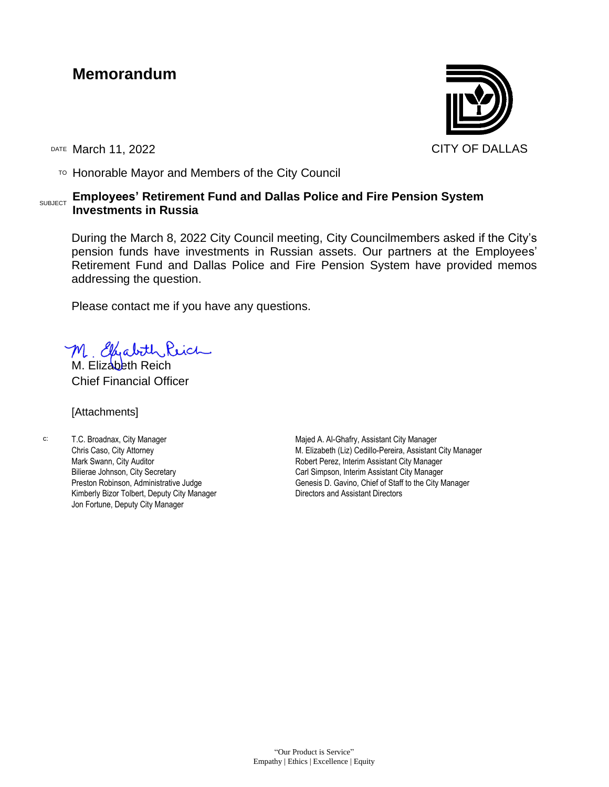# **Memorandum**

 $T$ <sup>O</sup> Honorable Mayor and Members of the City Council

#### SUBJECT **Employees' Retirement Fund and Dallas Police and Fire Pension System Investments in Russia**

During the March 8, 2022 City Council meeting, City Councilmembers asked if the City's pension funds have investments in Russian assets. Our partners at the Employees' Retirement Fund and Dallas Police and Fire Pension System have provided memos addressing the question.

Please contact me if you have any questions.

M. Elhabith Reich

Chief Financial Officer

[Attachments]

c: T.C. Broadnax, City Manager Chris Caso, City Attorney Mark Swann, City Auditor Bilierae Johnson, City Secretary Preston Robinson, Administrative Judge Kimberly Bizor Tolbert, Deputy City Manager Jon Fortune, Deputy City Manager

Majed A. Al-Ghafry, Assistant City Manager M. Elizabeth (Liz) Cedillo-Pereira, Assistant City Manager Robert Perez, Interim Assistant City Manager Carl Simpson, Interim Assistant City Manager Genesis D. Gavino, Chief of Staff to the City Manager Directors and Assistant Directors

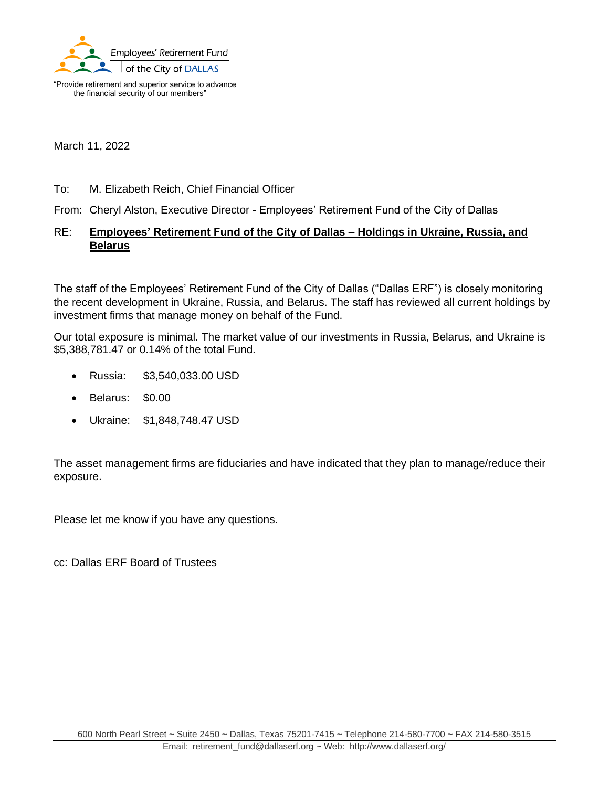

"Provide retirement and superior service to advance the financial security of our members"

March 11, 2022

#### To: M. Elizabeth Reich, Chief Financial Officer

From: Cheryl Alston, Executive Director - Employees' Retirement Fund of the City of Dallas

### RE: **Employees' Retirement Fund of the City of Dallas – Holdings in Ukraine, Russia, and Belarus**

The staff of the Employees' Retirement Fund of the City of Dallas ("Dallas ERF") is closely monitoring the recent development in Ukraine, Russia, and Belarus. The staff has reviewed all current holdings by investment firms that manage money on behalf of the Fund.

Our total exposure is minimal. The market value of our investments in Russia, Belarus, and Ukraine is \$5,388,781.47 or 0.14% of the total Fund.

- Russia: \$3,540,033.00 USD
- Belarus: \$0.00
- Ukraine: \$1,848,748.47 USD

The asset management firms are fiduciaries and have indicated that they plan to manage/reduce their exposure.

Please let me know if you have any questions.

cc: Dallas ERF Board of Trustees